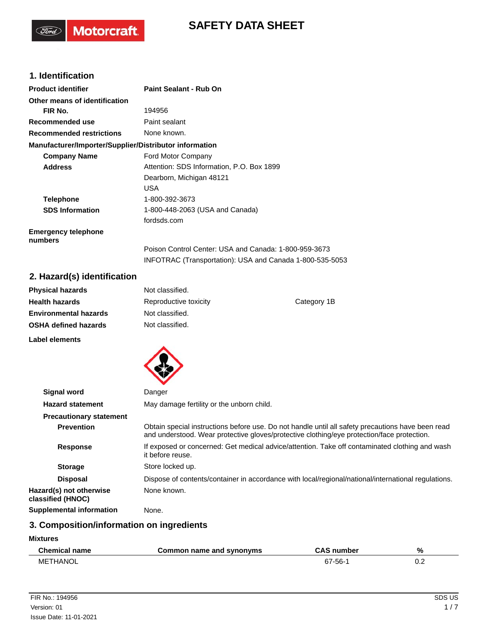# **SAFETY DATA SHEET**

## **1. Identification**

(Ford)

Motorcraft.

| <b>Product identifier</b>                              | Paint Sealant - Rub On                                   |
|--------------------------------------------------------|----------------------------------------------------------|
| Other means of identification                          |                                                          |
| FIR No.                                                | 194956                                                   |
| Recommended use                                        | Paint sealant                                            |
| <b>Recommended restrictions</b>                        | None known.                                              |
| Manufacturer/Importer/Supplier/Distributor information |                                                          |
| <b>Company Name</b>                                    | Ford Motor Company                                       |
| <b>Address</b>                                         | Attention: SDS Information, P.O. Box 1899                |
|                                                        | Dearborn, Michigan 48121                                 |
|                                                        | USA                                                      |
| <b>Telephone</b>                                       | 1-800-392-3673                                           |
| <b>SDS Information</b>                                 | 1-800-448-2063 (USA and Canada)                          |
|                                                        | fordsds.com                                              |
| <b>Emergency telephone</b><br>numbers                  |                                                          |
|                                                        | Poison Control Center: USA and Canada: 1-800-959-3673    |
|                                                        | INFOTRAC (Transportation): USA and Canada 1-800-535-5053 |

## **2. Hazard(s) identification**

| <b>Physical hazards</b>      | Not classified.       |             |
|------------------------------|-----------------------|-------------|
| <b>Health hazards</b>        | Reproductive toxicity | Category 1B |
| <b>Environmental hazards</b> | Not classified.       |             |
| <b>OSHA defined hazards</b>  | Not classified.       |             |
| Label elements               |                       |             |



| <b>Signal word</b>                           | Danger                                                                                                                                                                                          |  |  |
|----------------------------------------------|-------------------------------------------------------------------------------------------------------------------------------------------------------------------------------------------------|--|--|
| <b>Hazard statement</b>                      | May damage fertility or the unborn child.                                                                                                                                                       |  |  |
| <b>Precautionary statement</b>               |                                                                                                                                                                                                 |  |  |
| <b>Prevention</b>                            | Obtain special instructions before use. Do not handle until all safety precautions have been read<br>and understood. Wear protective gloves/protective clothing/eye protection/face protection. |  |  |
| <b>Response</b>                              | If exposed or concerned: Get medical advice/attention. Take off contaminated clothing and wash<br>it before reuse.                                                                              |  |  |
| <b>Storage</b>                               | Store locked up.                                                                                                                                                                                |  |  |
| <b>Disposal</b>                              | Dispose of contents/container in accordance with local/regional/national/international regulations.                                                                                             |  |  |
| Hazard(s) not otherwise<br>classified (HNOC) | None known.                                                                                                                                                                                     |  |  |
| <b>Supplemental information</b>              | None.                                                                                                                                                                                           |  |  |

## **3. Composition/information on ingredients**

**Mixtures**

| Chemical name        | Common name and svnonvms | <b>CAS number</b> | %   |
|----------------------|--------------------------|-------------------|-----|
| <b>THANOL</b><br>MET |                          | -56-              | ◡.∠ |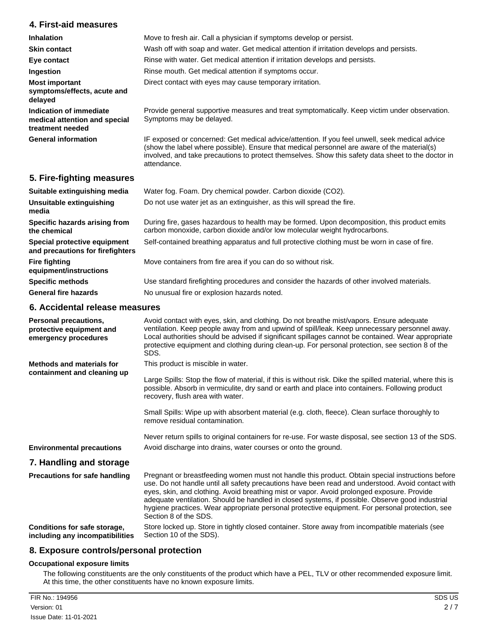### **4. First-aid measures**

| <b>Inhalation</b>                                                            | Move to fresh air. Call a physician if symptoms develop or persist.                                                                                                                                                                                                                                                |
|------------------------------------------------------------------------------|--------------------------------------------------------------------------------------------------------------------------------------------------------------------------------------------------------------------------------------------------------------------------------------------------------------------|
| <b>Skin contact</b>                                                          | Wash off with soap and water. Get medical attention if irritation develops and persists.                                                                                                                                                                                                                           |
| Eye contact                                                                  | Rinse with water. Get medical attention if irritation develops and persists.                                                                                                                                                                                                                                       |
| Ingestion                                                                    | Rinse mouth. Get medical attention if symptoms occur.                                                                                                                                                                                                                                                              |
| <b>Most important</b><br>symptoms/effects, acute and<br>delayed              | Direct contact with eyes may cause temporary irritation.                                                                                                                                                                                                                                                           |
| Indication of immediate<br>medical attention and special<br>treatment needed | Provide general supportive measures and treat symptomatically. Keep victim under observation.<br>Symptoms may be delayed.                                                                                                                                                                                          |
| <b>General information</b>                                                   | IF exposed or concerned: Get medical advice/attention. If you feel unwell, seek medical advice<br>(show the label where possible). Ensure that medical personnel are aware of the material(s)<br>involved, and take precautions to protect themselves. Show this safety data sheet to the doctor in<br>attendance. |

## **5. Fire-fighting measures**

| Suitable extinguishing media                                     | Water fog. Foam. Dry chemical powder. Carbon dioxide (CO2).                                                                                                               |
|------------------------------------------------------------------|---------------------------------------------------------------------------------------------------------------------------------------------------------------------------|
| Unsuitable extinguishing<br>media                                | Do not use water jet as an extinguisher, as this will spread the fire.                                                                                                    |
| Specific hazards arising from<br>the chemical                    | During fire, gases hazardous to health may be formed. Upon decomposition, this product emits<br>carbon monoxide, carbon dioxide and/or low molecular weight hydrocarbons. |
| Special protective equipment<br>and precautions for firefighters | Self-contained breathing apparatus and full protective clothing must be worn in case of fire.                                                                             |
| <b>Fire fighting</b><br>equipment/instructions                   | Move containers from fire area if you can do so without risk.                                                                                                             |
| <b>Specific methods</b>                                          | Use standard firefighting procedures and consider the hazards of other involved materials.                                                                                |
| <b>General fire hazards</b>                                      | No unusual fire or explosion hazards noted.                                                                                                                               |

#### **6. Accidental release measures**

| Personal precautions,<br>protective equipment and<br>emergency procedures | Avoid contact with eyes, skin, and clothing. Do not breathe mist/vapors. Ensure adequate<br>ventilation. Keep people away from and upwind of spill/leak. Keep unnecessary personnel away.<br>Local authorities should be advised if significant spillages cannot be contained. Wear appropriate<br>protective equipment and clothing during clean-up. For personal protection, see section 8 of the<br>SDS.                                                                                                                        |
|---------------------------------------------------------------------------|------------------------------------------------------------------------------------------------------------------------------------------------------------------------------------------------------------------------------------------------------------------------------------------------------------------------------------------------------------------------------------------------------------------------------------------------------------------------------------------------------------------------------------|
| <b>Methods and materials for</b><br>containment and cleaning up           | This product is miscible in water.<br>Large Spills: Stop the flow of material, if this is without risk. Dike the spilled material, where this is                                                                                                                                                                                                                                                                                                                                                                                   |
|                                                                           | possible. Absorb in vermiculite, dry sand or earth and place into containers. Following product<br>recovery, flush area with water.                                                                                                                                                                                                                                                                                                                                                                                                |
|                                                                           | Small Spills: Wipe up with absorbent material (e.g. cloth, fleece). Clean surface thoroughly to<br>remove residual contamination.                                                                                                                                                                                                                                                                                                                                                                                                  |
|                                                                           | Never return spills to original containers for re-use. For waste disposal, see section 13 of the SDS.                                                                                                                                                                                                                                                                                                                                                                                                                              |
| <b>Environmental precautions</b>                                          | Avoid discharge into drains, water courses or onto the ground.                                                                                                                                                                                                                                                                                                                                                                                                                                                                     |
| 7. Handling and storage                                                   |                                                                                                                                                                                                                                                                                                                                                                                                                                                                                                                                    |
| <b>Precautions for safe handling</b>                                      | Pregnant or breastfeeding women must not handle this product. Obtain special instructions before<br>use. Do not handle until all safety precautions have been read and understood. Avoid contact with<br>eyes, skin, and clothing. Avoid breathing mist or vapor. Avoid prolonged exposure. Provide<br>adequate ventilation. Should be handled in closed systems, if possible. Observe good industrial<br>hygiene practices. Wear appropriate personal protective equipment. For personal protection, see<br>Section 8 of the SDS. |
| Conditions for safe storage,<br>including any incompatibilities           | Store locked up. Store in tightly closed container. Store away from incompatible materials (see<br>Section 10 of the SDS).                                                                                                                                                                                                                                                                                                                                                                                                         |

### **8. Exposure controls/personal protection**

#### **Occupational exposure limits**

The following constituents are the only constituents of the product which have a PEL, TLV or other recommended exposure limit. At this time, the other constituents have no known exposure limits.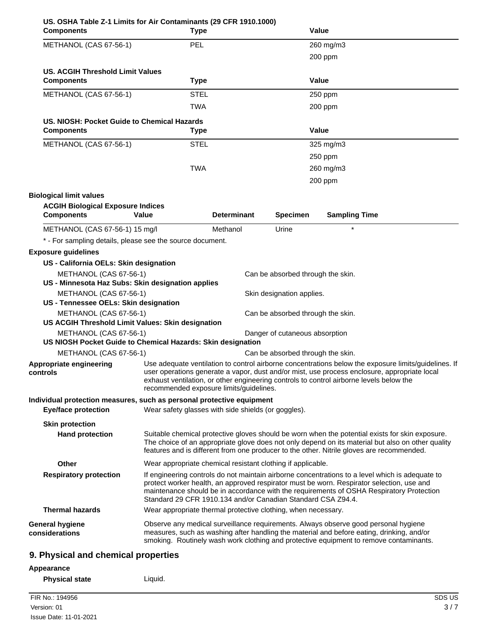| US. OSHA Table Z-1 Limits for Air Contaminants (29 CFR 1910.1000)<br><b>Components</b> |       | Type                                                                                                                                                                                                                                                                                                                                                     |                                   | Value                |  |
|----------------------------------------------------------------------------------------|-------|----------------------------------------------------------------------------------------------------------------------------------------------------------------------------------------------------------------------------------------------------------------------------------------------------------------------------------------------------------|-----------------------------------|----------------------|--|
| METHANOL (CAS 67-56-1)                                                                 |       | <b>PEL</b>                                                                                                                                                                                                                                                                                                                                               |                                   | 260 mg/m3            |  |
|                                                                                        |       |                                                                                                                                                                                                                                                                                                                                                          |                                   | 200 ppm              |  |
| <b>US. ACGIH Threshold Limit Values</b>                                                |       |                                                                                                                                                                                                                                                                                                                                                          |                                   |                      |  |
| <b>Components</b>                                                                      |       | <b>Type</b>                                                                                                                                                                                                                                                                                                                                              |                                   | Value                |  |
| METHANOL (CAS 67-56-1)                                                                 |       | <b>STEL</b>                                                                                                                                                                                                                                                                                                                                              |                                   | 250 ppm              |  |
|                                                                                        |       | TWA                                                                                                                                                                                                                                                                                                                                                      |                                   | 200 ppm              |  |
| US. NIOSH: Pocket Guide to Chemical Hazards                                            |       |                                                                                                                                                                                                                                                                                                                                                          |                                   |                      |  |
| <b>Components</b>                                                                      |       | <b>Type</b>                                                                                                                                                                                                                                                                                                                                              |                                   | Value                |  |
| METHANOL (CAS 67-56-1)                                                                 |       | <b>STEL</b>                                                                                                                                                                                                                                                                                                                                              |                                   | 325 mg/m3            |  |
|                                                                                        |       |                                                                                                                                                                                                                                                                                                                                                          |                                   | 250 ppm              |  |
|                                                                                        |       | <b>TWA</b>                                                                                                                                                                                                                                                                                                                                               |                                   | 260 mg/m3            |  |
|                                                                                        |       |                                                                                                                                                                                                                                                                                                                                                          |                                   | 200 ppm              |  |
| <b>Biological limit values</b>                                                         |       |                                                                                                                                                                                                                                                                                                                                                          |                                   |                      |  |
| <b>ACGIH Biological Exposure Indices</b>                                               |       |                                                                                                                                                                                                                                                                                                                                                          |                                   |                      |  |
| <b>Components</b>                                                                      | Value | <b>Determinant</b>                                                                                                                                                                                                                                                                                                                                       | <b>Specimen</b>                   | <b>Sampling Time</b> |  |
| METHANOL (CAS 67-56-1) 15 mg/l                                                         |       | Methanol                                                                                                                                                                                                                                                                                                                                                 | Urine                             | $\star$              |  |
| * - For sampling details, please see the source document.                              |       |                                                                                                                                                                                                                                                                                                                                                          |                                   |                      |  |
| <b>Exposure guidelines</b>                                                             |       |                                                                                                                                                                                                                                                                                                                                                          |                                   |                      |  |
| US - California OELs: Skin designation                                                 |       |                                                                                                                                                                                                                                                                                                                                                          |                                   |                      |  |
| METHANOL (CAS 67-56-1)<br>US - Minnesota Haz Subs: Skin designation applies            |       |                                                                                                                                                                                                                                                                                                                                                          | Can be absorbed through the skin. |                      |  |
| METHANOL (CAS 67-56-1)                                                                 |       |                                                                                                                                                                                                                                                                                                                                                          | Skin designation applies.         |                      |  |
| US - Tennessee OELs: Skin designation                                                  |       |                                                                                                                                                                                                                                                                                                                                                          |                                   |                      |  |
| METHANOL (CAS 67-56-1)                                                                 |       |                                                                                                                                                                                                                                                                                                                                                          | Can be absorbed through the skin. |                      |  |
| US ACGIH Threshold Limit Values: Skin designation                                      |       |                                                                                                                                                                                                                                                                                                                                                          |                                   |                      |  |
| METHANOL (CAS 67-56-1)                                                                 |       |                                                                                                                                                                                                                                                                                                                                                          | Danger of cutaneous absorption    |                      |  |
| US NIOSH Pocket Guide to Chemical Hazards: Skin designation<br>METHANOL (CAS 67-56-1)  |       |                                                                                                                                                                                                                                                                                                                                                          | Can be absorbed through the skin. |                      |  |
| Appropriate engineering                                                                |       |                                                                                                                                                                                                                                                                                                                                                          |                                   |                      |  |
| controls                                                                               |       | Use adequate ventilation to control airborne concentrations below the exposure limits/guidelines. If<br>user operations generate a vapor, dust and/or mist, use process enclosure, appropriate local<br>exhaust ventilation, or other engineering controls to control airborne levels below the<br>recommended exposure limits/guidelines.               |                                   |                      |  |
| Individual protection measures, such as personal protective equipment                  |       |                                                                                                                                                                                                                                                                                                                                                          |                                   |                      |  |
| <b>Eye/face protection</b>                                                             |       | Wear safety glasses with side shields (or goggles).                                                                                                                                                                                                                                                                                                      |                                   |                      |  |
| <b>Skin protection</b>                                                                 |       |                                                                                                                                                                                                                                                                                                                                                          |                                   |                      |  |
| <b>Hand protection</b>                                                                 |       | Suitable chemical protective gloves should be worn when the potential exists for skin exposure.<br>The choice of an appropriate glove does not only depend on its material but also on other quality<br>features and is different from one producer to the other. Nitrile gloves are recommended.                                                        |                                   |                      |  |
| <b>Other</b>                                                                           |       | Wear appropriate chemical resistant clothing if applicable.                                                                                                                                                                                                                                                                                              |                                   |                      |  |
| <b>Respiratory protection</b>                                                          |       | If engineering controls do not maintain airborne concentrations to a level which is adequate to<br>protect worker health, an approved respirator must be worn. Respirator selection, use and<br>maintenance should be in accordance with the requirements of OSHA Respiratory Protection<br>Standard 29 CFR 1910.134 and/or Canadian Standard CSA Z94.4. |                                   |                      |  |
| <b>Thermal hazards</b>                                                                 |       | Wear appropriate thermal protective clothing, when necessary.                                                                                                                                                                                                                                                                                            |                                   |                      |  |
| <b>General hygiene</b><br>considerations                                               |       | Observe any medical surveillance requirements. Always observe good personal hygiene<br>measures, such as washing after handling the material and before eating, drinking, and/or<br>smoking. Routinely wash work clothing and protective equipment to remove contaminants.                                                                               |                                   |                      |  |
| 9. Physical and chemical properties                                                    |       |                                                                                                                                                                                                                                                                                                                                                          |                                   |                      |  |

# **Appearance**

**Physical state Liquid.**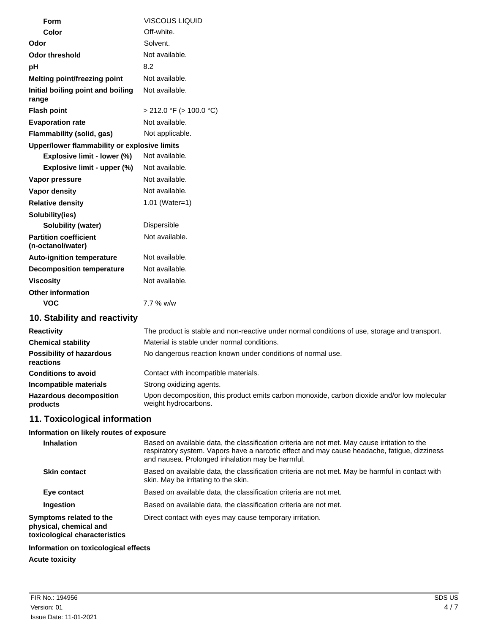| Form                                              | <b>VISCOUS LIQUID</b>        |  |  |  |
|---------------------------------------------------|------------------------------|--|--|--|
| Color                                             | Off-white.                   |  |  |  |
| Odor                                              | Solvent.                     |  |  |  |
| <b>Odor threshold</b>                             | Not available.               |  |  |  |
| pH                                                | 8.2                          |  |  |  |
| Melting point/freezing point                      | Not available.               |  |  |  |
| Initial boiling point and boiling<br>range        | Not available.               |  |  |  |
| <b>Flash point</b>                                | $>$ 212.0 °F ( $>$ 100.0 °C) |  |  |  |
| <b>Evaporation rate</b>                           | Not available.               |  |  |  |
| Flammability (solid, gas)                         | Not applicable.              |  |  |  |
| Upper/lower flammability or explosive limits      |                              |  |  |  |
| Explosive limit - lower (%)                       | Not available.               |  |  |  |
| Explosive limit - upper (%)                       | Not available.               |  |  |  |
| Vapor pressure                                    | Not available.               |  |  |  |
| Vapor density                                     | Not available.               |  |  |  |
| <b>Relative density</b>                           | 1.01 (Water=1)               |  |  |  |
| Solubility(ies)                                   |                              |  |  |  |
| <b>Solubility (water)</b>                         | Dispersible                  |  |  |  |
| <b>Partition coefficient</b><br>(n-octanol/water) | Not available.               |  |  |  |
| <b>Auto-ignition temperature</b>                  | Not available.               |  |  |  |
| <b>Decomposition temperature</b>                  | Not available.               |  |  |  |
| <b>Viscosity</b>                                  | Not available.               |  |  |  |
| <b>Other information</b>                          |                              |  |  |  |
| <b>VOC</b>                                        | 7.7 % w/w                    |  |  |  |
| 10. Stability and reactivity                      |                              |  |  |  |

| The product is stable and non-reactive under normal conditions of use, storage and transport.                       |  |  |
|---------------------------------------------------------------------------------------------------------------------|--|--|
| Material is stable under normal conditions.                                                                         |  |  |
| No dangerous reaction known under conditions of normal use.                                                         |  |  |
| Contact with incompatible materials.                                                                                |  |  |
| Strong oxidizing agents.                                                                                            |  |  |
| Upon decomposition, this product emits carbon monoxide, carbon dioxide and/or low molecular<br>weight hydrocarbons. |  |  |
|                                                                                                                     |  |  |

# **11. Toxicological information**

## **Information on likely routes of exposure**

| <b>Inhalation</b>                                                                  | Based on available data, the classification criteria are not met. May cause irritation to the<br>respiratory system. Vapors have a narcotic effect and may cause headache, fatigue, dizziness |
|------------------------------------------------------------------------------------|-----------------------------------------------------------------------------------------------------------------------------------------------------------------------------------------------|
|                                                                                    | and nausea. Prolonged inhalation may be harmful.                                                                                                                                              |
| <b>Skin contact</b>                                                                | Based on available data, the classification criteria are not met. May be harmful in contact with<br>skin. May be irritating to the skin.                                                      |
| Eye contact                                                                        | Based on available data, the classification criteria are not met.                                                                                                                             |
| <b>Ingestion</b>                                                                   | Based on available data, the classification criteria are not met.                                                                                                                             |
| Symptoms related to the<br>physical, chemical and<br>toxicological characteristics | Direct contact with eyes may cause temporary irritation.                                                                                                                                      |
| lafamaatian an taulaalaalaal affaata.                                              |                                                                                                                                                                                               |

# **Information on toxicological effects**

## **Acute toxicity**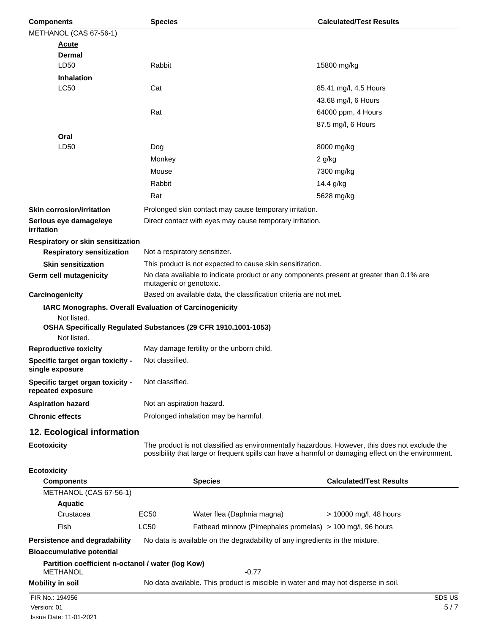| <b>Components</b>                                                                                                                                      | <b>Calculated/Test Results</b><br><b>Species</b>                                   |                                                                                                                     |                                                                                                     |  |
|--------------------------------------------------------------------------------------------------------------------------------------------------------|------------------------------------------------------------------------------------|---------------------------------------------------------------------------------------------------------------------|-----------------------------------------------------------------------------------------------------|--|
| METHANOL (CAS 67-56-1)                                                                                                                                 |                                                                                    |                                                                                                                     |                                                                                                     |  |
| <b>Acute</b>                                                                                                                                           |                                                                                    |                                                                                                                     |                                                                                                     |  |
| <b>Dermal</b>                                                                                                                                          |                                                                                    |                                                                                                                     |                                                                                                     |  |
| LD50                                                                                                                                                   | Rabbit                                                                             |                                                                                                                     | 15800 mg/kg                                                                                         |  |
| <b>Inhalation</b>                                                                                                                                      |                                                                                    |                                                                                                                     |                                                                                                     |  |
| <b>LC50</b>                                                                                                                                            | Cat                                                                                |                                                                                                                     | 85.41 mg/l, 4.5 Hours                                                                               |  |
|                                                                                                                                                        |                                                                                    |                                                                                                                     | 43.68 mg/l, 6 Hours                                                                                 |  |
|                                                                                                                                                        | Rat                                                                                |                                                                                                                     | 64000 ppm, 4 Hours                                                                                  |  |
|                                                                                                                                                        |                                                                                    |                                                                                                                     | 87.5 mg/l, 6 Hours                                                                                  |  |
| Oral                                                                                                                                                   |                                                                                    |                                                                                                                     |                                                                                                     |  |
| LD50                                                                                                                                                   | Dog                                                                                |                                                                                                                     | 8000 mg/kg                                                                                          |  |
|                                                                                                                                                        | Monkey                                                                             |                                                                                                                     | $2$ g/kg                                                                                            |  |
|                                                                                                                                                        | Mouse                                                                              |                                                                                                                     | 7300 mg/kg                                                                                          |  |
|                                                                                                                                                        | Rabbit                                                                             |                                                                                                                     | 14.4 g/kg                                                                                           |  |
|                                                                                                                                                        | Rat                                                                                |                                                                                                                     | 5628 mg/kg                                                                                          |  |
| <b>Skin corrosion/irritation</b>                                                                                                                       |                                                                                    | Prolonged skin contact may cause temporary irritation.                                                              |                                                                                                     |  |
| Serious eye damage/eye<br>irritation                                                                                                                   |                                                                                    | Direct contact with eyes may cause temporary irritation.                                                            |                                                                                                     |  |
| Respiratory or skin sensitization                                                                                                                      |                                                                                    |                                                                                                                     |                                                                                                     |  |
| <b>Respiratory sensitization</b>                                                                                                                       |                                                                                    | Not a respiratory sensitizer.                                                                                       |                                                                                                     |  |
| <b>Skin sensitization</b>                                                                                                                              |                                                                                    | This product is not expected to cause skin sensitization.                                                           |                                                                                                     |  |
| Germ cell mutagenicity                                                                                                                                 |                                                                                    | No data available to indicate product or any components present at greater than 0.1% are<br>mutagenic or genotoxic. |                                                                                                     |  |
| Carcinogenicity                                                                                                                                        |                                                                                    | Based on available data, the classification criteria are not met.                                                   |                                                                                                     |  |
| IARC Monographs. Overall Evaluation of Carcinogenicity<br>Not listed.<br>OSHA Specifically Regulated Substances (29 CFR 1910.1001-1053)<br>Not listed. |                                                                                    |                                                                                                                     |                                                                                                     |  |
| <b>Reproductive toxicity</b>                                                                                                                           | May damage fertility or the unborn child.                                          |                                                                                                                     |                                                                                                     |  |
| Specific target organ toxicity -<br>single exposure                                                                                                    | Not classified.                                                                    |                                                                                                                     |                                                                                                     |  |
| Specific target organ toxicity -<br>repeated exposure                                                                                                  | Not classified.                                                                    |                                                                                                                     |                                                                                                     |  |
| <b>Aspiration hazard</b>                                                                                                                               | Not an aspiration hazard.                                                          |                                                                                                                     |                                                                                                     |  |
| <b>Chronic effects</b>                                                                                                                                 |                                                                                    | Prolonged inhalation may be harmful.                                                                                |                                                                                                     |  |
| 12. Ecological information                                                                                                                             |                                                                                    |                                                                                                                     |                                                                                                     |  |
| <b>Ecotoxicity</b>                                                                                                                                     |                                                                                    | The product is not classified as environmentally hazardous. However, this does not exclude the                      | possibility that large or frequent spills can have a harmful or damaging effect on the environment. |  |
| <b>Ecotoxicity</b>                                                                                                                                     |                                                                                    |                                                                                                                     |                                                                                                     |  |
| <b>Components</b>                                                                                                                                      |                                                                                    | <b>Species</b>                                                                                                      | <b>Calculated/Test Results</b>                                                                      |  |
| METHANOL (CAS 67-56-1)                                                                                                                                 |                                                                                    |                                                                                                                     |                                                                                                     |  |
| <b>Aquatic</b>                                                                                                                                         |                                                                                    |                                                                                                                     |                                                                                                     |  |
| Crustacea                                                                                                                                              | EC50                                                                               | Water flea (Daphnia magna)                                                                                          | $> 10000$ mg/l, 48 hours                                                                            |  |
| <b>Fish</b>                                                                                                                                            | <b>LC50</b>                                                                        | Fathead minnow (Pimephales promelas) > 100 mg/l, 96 hours                                                           |                                                                                                     |  |
| Persistence and degradability                                                                                                                          | No data is available on the degradability of any ingredients in the mixture.       |                                                                                                                     |                                                                                                     |  |
| <b>Bioaccumulative potential</b>                                                                                                                       |                                                                                    |                                                                                                                     |                                                                                                     |  |
| Partition coefficient n-octanol / water (log Kow)<br><b>METHANOL</b>                                                                                   |                                                                                    | $-0.77$                                                                                                             |                                                                                                     |  |
| <b>Mobility in soil</b>                                                                                                                                | No data available. This product is miscible in water and may not disperse in soil. |                                                                                                                     |                                                                                                     |  |
| FIR No.: 194956                                                                                                                                        |                                                                                    |                                                                                                                     | SDS US                                                                                              |  |
|                                                                                                                                                        |                                                                                    |                                                                                                                     |                                                                                                     |  |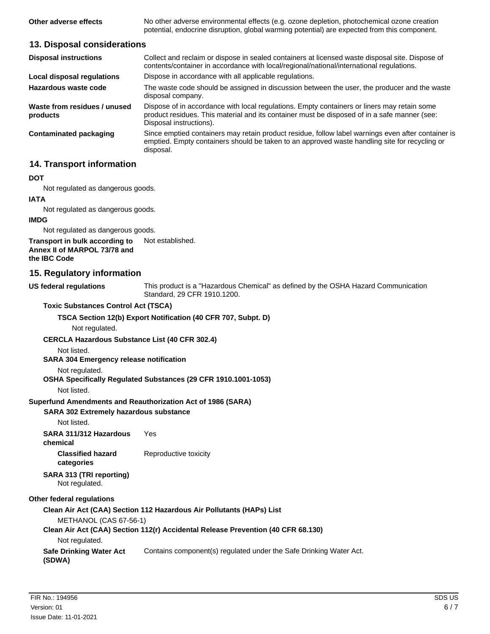**Other adverse effects** No other adverse environmental effects (e.g. ozone depletion, photochemical ozone creation potential, endocrine disruption, global warming potential) are expected from this component.

#### **13. Disposal considerations**

| <b>Disposal instructions</b>             | Collect and reclaim or dispose in sealed containers at licensed waste disposal site. Dispose of<br>contents/container in accordance with local/regional/national/international regulations.                            |
|------------------------------------------|------------------------------------------------------------------------------------------------------------------------------------------------------------------------------------------------------------------------|
| Local disposal regulations               | Dispose in accordance with all applicable regulations.                                                                                                                                                                 |
| Hazardous waste code                     | The waste code should be assigned in discussion between the user, the producer and the waste<br>disposal company.                                                                                                      |
| Waste from residues / unused<br>products | Dispose of in accordance with local regulations. Empty containers or liners may retain some<br>product residues. This material and its container must be disposed of in a safe manner (see:<br>Disposal instructions). |
| Contaminated packaging                   | Since emptied containers may retain product residue, follow label warnings even after container is<br>emptied. Empty containers should be taken to an approved waste handling site for recycling or<br>disposal.       |

### **14. Transport information**

#### **DOT**

Not regulated as dangerous goods.

#### **IATA**

Not regulated as dangerous goods.

#### **IMDG**

Not regulated as dangerous goods.

#### **Transport in bulk according to** Not established. **Annex II of MARPOL 73/78 and the IBC Code**

#### **15. Regulatory information**

This product is a "Hazardous Chemical" as defined by the OSHA Hazard Communication Standard, 29 CFR 1910.1200.

#### **Toxic Substances Control Act (TSCA)**

#### **TSCA Section 12(b) Export Notification (40 CFR 707, Subpt. D)**

Not regulated.

#### **CERCLA Hazardous Substance List (40 CFR 302.4)**

Not listed.

**US federal regulations**

#### **SARA 304 Emergency release notification**

#### Not regulated.

#### **OSHA Specifically Regulated Substances (29 CFR 1910.1001-1053)**

Not listed.

#### **Superfund Amendments and Reauthorization Act of 1986 (SARA)**

#### **SARA 302 Extremely hazardous substance**

Not listed.

**SARA 311/312 Hazardous** Yes **chemical Classified hazard** Reproductive toxicity **categories**

#### **SARA 313 (TRI reporting)**

Not regulated.

#### **Other federal regulations**

#### **Clean Air Act (CAA) Section 112 Hazardous Air Pollutants (HAPs) List** METHANOL (CAS 67-56-1) **Clean Air Act (CAA) Section 112(r) Accidental Release Prevention (40 CFR 68.130)** Not regulated. **Safe Drinking Water Act** Contains component(s) regulated under the Safe Drinking Water Act. **(SDWA)**